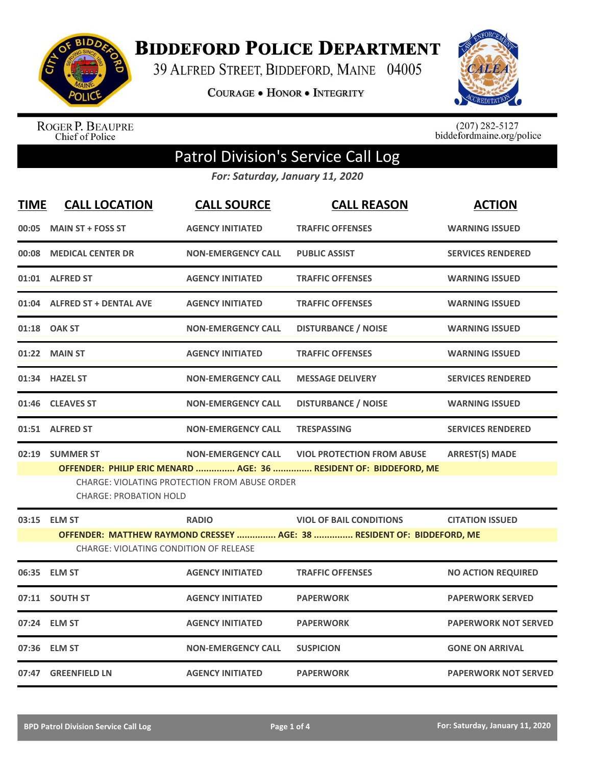

**BIDDEFORD POLICE DEPARTMENT** 

39 ALFRED STREET, BIDDEFORD, MAINE 04005

COURAGE . HONOR . INTEGRITY



ROGER P. BEAUPRE<br>Chief of Police

 $(207)$  282-5127<br>biddefordmaine.org/police

## Patrol Division's Service Call Log

*For: Saturday, January 11, 2020*

| <b>TIME</b> | <b>CALL LOCATION</b>                                                                                                    | <b>CALL SOURCE</b>                                   | <b>CALL REASON</b>                                                | <b>ACTION</b>               |  |
|-------------|-------------------------------------------------------------------------------------------------------------------------|------------------------------------------------------|-------------------------------------------------------------------|-----------------------------|--|
| 00:05       | <b>MAIN ST + FOSS ST</b>                                                                                                | <b>AGENCY INITIATED</b>                              | <b>TRAFFIC OFFENSES</b>                                           | <b>WARNING ISSUED</b>       |  |
| 00:08       | <b>MEDICAL CENTER DR</b>                                                                                                | <b>NON-EMERGENCY CALL</b>                            | <b>PUBLIC ASSIST</b>                                              | <b>SERVICES RENDERED</b>    |  |
|             | 01:01 ALFRED ST                                                                                                         | <b>AGENCY INITIATED</b>                              | <b>TRAFFIC OFFENSES</b>                                           | <b>WARNING ISSUED</b>       |  |
|             | 01:04 ALFRED ST + DENTAL AVE                                                                                            | <b>AGENCY INITIATED</b>                              | <b>TRAFFIC OFFENSES</b>                                           | <b>WARNING ISSUED</b>       |  |
|             | 01:18 OAK ST                                                                                                            | <b>NON-EMERGENCY CALL</b>                            | <b>DISTURBANCE / NOISE</b>                                        | <b>WARNING ISSUED</b>       |  |
|             | 01:22 MAIN ST                                                                                                           | <b>AGENCY INITIATED</b>                              | <b>TRAFFIC OFFENSES</b>                                           | <b>WARNING ISSUED</b>       |  |
|             | 01:34 HAZEL ST                                                                                                          | <b>NON-EMERGENCY CALL</b>                            | <b>MESSAGE DELIVERY</b>                                           | <b>SERVICES RENDERED</b>    |  |
|             | 01:46 CLEAVES ST                                                                                                        | <b>NON-EMERGENCY CALL</b>                            | <b>DISTURBANCE / NOISE</b>                                        | <b>WARNING ISSUED</b>       |  |
|             | 01:51 ALFRED ST                                                                                                         | <b>NON-EMERGENCY CALL</b>                            | <b>TRESPASSING</b>                                                | <b>SERVICES RENDERED</b>    |  |
|             | 02:19 SUMMER ST                                                                                                         | <b>NON-EMERGENCY CALL</b>                            | <b>VIOL PROTECTION FROM ABUSE</b>                                 | <b>ARREST(S) MADE</b>       |  |
|             | CHARGE: PROBATION HOLD                                                                                                  | <b>CHARGE: VIOLATING PROTECTION FROM ABUSE ORDER</b> | OFFENDER: PHILIP ERIC MENARD  AGE: 36  RESIDENT OF: BIDDEFORD, ME |                             |  |
|             | 03:15 ELM ST                                                                                                            | <b>RADIO</b>                                         | <b>VIOL OF BAIL CONDITIONS</b>                                    | <b>CITATION ISSUED</b>      |  |
|             | OFFENDER: MATTHEW RAYMOND CRESSEY  AGE: 38  RESIDENT OF: BIDDEFORD, ME<br><b>CHARGE: VIOLATING CONDITION OF RELEASE</b> |                                                      |                                                                   |                             |  |
|             | 06:35 ELM ST                                                                                                            | <b>AGENCY INITIATED</b>                              | <b>TRAFFIC OFFENSES</b>                                           | <b>NO ACTION REQUIRED</b>   |  |
|             | 07:11 SOUTH ST                                                                                                          | <b>AGENCY INITIATED</b>                              | <b>PAPERWORK</b>                                                  | <b>PAPERWORK SERVED</b>     |  |
|             | 07:24 ELM ST                                                                                                            | <b>AGENCY INITIATED</b>                              | <b>PAPERWORK</b>                                                  | <b>PAPERWORK NOT SERVED</b> |  |
|             | 07:36 ELM ST                                                                                                            | <b>NON-EMERGENCY CALL</b>                            | <b>SUSPICION</b>                                                  | <b>GONE ON ARRIVAL</b>      |  |
|             | 07:47 GREENFIELD LN                                                                                                     | <b>AGENCY INITIATED</b>                              | <b>PAPERWORK</b>                                                  | <b>PAPERWORK NOT SERVED</b> |  |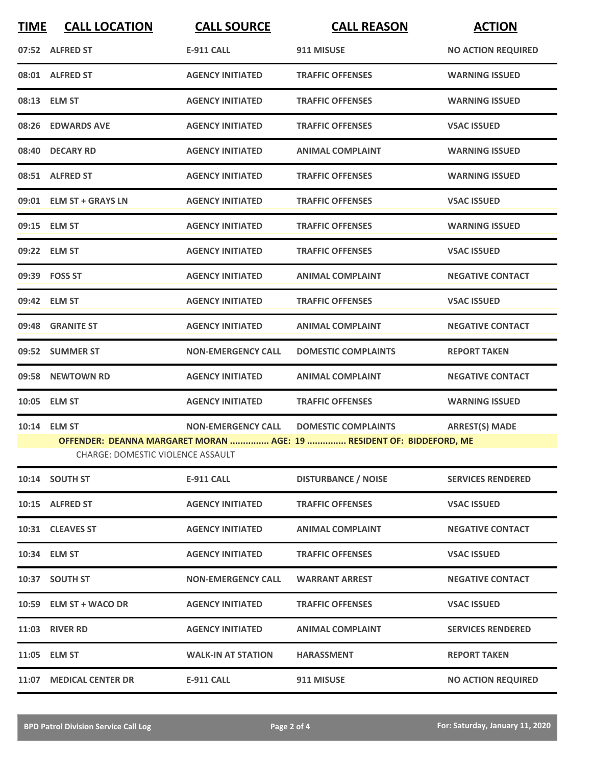| <b>TIME</b> | <b>CALL LOCATION</b>              | <b>CALL SOURCE</b>        | <b>CALL REASON</b>                                                   | <b>ACTION</b>             |
|-------------|-----------------------------------|---------------------------|----------------------------------------------------------------------|---------------------------|
|             | 07:52 ALFRED ST                   | <b>E-911 CALL</b>         | 911 MISUSE                                                           | <b>NO ACTION REQUIRED</b> |
|             | 08:01 ALFRED ST                   | <b>AGENCY INITIATED</b>   | <b>TRAFFIC OFFENSES</b>                                              | <b>WARNING ISSUED</b>     |
|             | 08:13 ELM ST                      | <b>AGENCY INITIATED</b>   | <b>TRAFFIC OFFENSES</b>                                              | <b>WARNING ISSUED</b>     |
|             | 08:26 EDWARDS AVE                 | <b>AGENCY INITIATED</b>   | <b>TRAFFIC OFFENSES</b>                                              | <b>VSAC ISSUED</b>        |
|             | 08:40 DECARY RD                   | <b>AGENCY INITIATED</b>   | <b>ANIMAL COMPLAINT</b>                                              | <b>WARNING ISSUED</b>     |
|             | 08:51 ALFRED ST                   | <b>AGENCY INITIATED</b>   | <b>TRAFFIC OFFENSES</b>                                              | <b>WARNING ISSUED</b>     |
|             | 09:01 ELM ST + GRAYS LN           | <b>AGENCY INITIATED</b>   | <b>TRAFFIC OFFENSES</b>                                              | <b>VSAC ISSUED</b>        |
|             | 09:15 ELM ST                      | <b>AGENCY INITIATED</b>   | <b>TRAFFIC OFFENSES</b>                                              | <b>WARNING ISSUED</b>     |
|             | 09:22 ELM ST                      | <b>AGENCY INITIATED</b>   | <b>TRAFFIC OFFENSES</b>                                              | <b>VSAC ISSUED</b>        |
|             | 09:39 FOSS ST                     | <b>AGENCY INITIATED</b>   | <b>ANIMAL COMPLAINT</b>                                              | <b>NEGATIVE CONTACT</b>   |
|             | 09:42 ELM ST                      | <b>AGENCY INITIATED</b>   | <b>TRAFFIC OFFENSES</b>                                              | <b>VSAC ISSUED</b>        |
|             | 09:48 GRANITE ST                  | <b>AGENCY INITIATED</b>   | <b>ANIMAL COMPLAINT</b>                                              | <b>NEGATIVE CONTACT</b>   |
|             | 09:52 SUMMER ST                   | <b>NON-EMERGENCY CALL</b> | <b>DOMESTIC COMPLAINTS</b>                                           | <b>REPORT TAKEN</b>       |
| 09:58       | <b>NEWTOWN RD</b>                 | <b>AGENCY INITIATED</b>   | <b>ANIMAL COMPLAINT</b>                                              | <b>NEGATIVE CONTACT</b>   |
|             | 10:05 ELM ST                      | <b>AGENCY INITIATED</b>   | <b>TRAFFIC OFFENSES</b>                                              | <b>WARNING ISSUED</b>     |
|             | 10:14 ELM ST                      | <b>NON-EMERGENCY CALL</b> | <b>DOMESTIC COMPLAINTS</b>                                           | <b>ARREST(S) MADE</b>     |
|             | CHARGE: DOMESTIC VIOLENCE ASSAULT |                           | OFFENDER: DEANNA MARGARET MORAN  AGE: 19  RESIDENT OF: BIDDEFORD, ME |                           |
|             | 10:14 SOUTH ST                    | <b>E-911 CALL</b>         | <b>DISTURBANCE / NOISE</b>                                           | <b>SERVICES RENDERED</b>  |
|             | 10:15 ALFRED ST                   | <b>AGENCY INITIATED</b>   | <b>TRAFFIC OFFENSES</b>                                              | <b>VSAC ISSUED</b>        |
|             | 10:31 CLEAVES ST                  | <b>AGENCY INITIATED</b>   | <b>ANIMAL COMPLAINT</b>                                              | <b>NEGATIVE CONTACT</b>   |
|             | 10:34 ELM ST                      | <b>AGENCY INITIATED</b>   | <b>TRAFFIC OFFENSES</b>                                              | <b>VSAC ISSUED</b>        |
|             | 10:37 SOUTH ST                    | <b>NON-EMERGENCY CALL</b> | <b>WARRANT ARREST</b>                                                | <b>NEGATIVE CONTACT</b>   |
|             | 10:59 ELM ST + WACO DR            | <b>AGENCY INITIATED</b>   | <b>TRAFFIC OFFENSES</b>                                              | <b>VSAC ISSUED</b>        |
|             | <b>11:03 RIVER RD</b>             | <b>AGENCY INITIATED</b>   | <b>ANIMAL COMPLAINT</b>                                              | <b>SERVICES RENDERED</b>  |
|             | 11:05 ELM ST                      | <b>WALK-IN AT STATION</b> | <b>HARASSMENT</b>                                                    | <b>REPORT TAKEN</b>       |
| 11:07       | <b>MEDICAL CENTER DR</b>          | <b>E-911 CALL</b>         | 911 MISUSE                                                           | <b>NO ACTION REQUIRED</b> |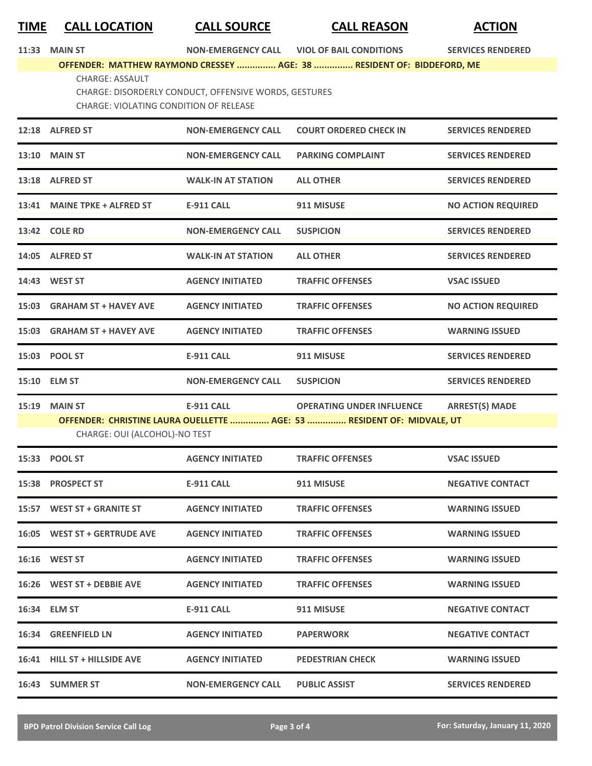## **TIME CALL LOCATION CALL SOURCE CALL REASON ACTION**

| 11:33 MAIN ST                                         |                                                                        | NON-EMERGENCY CALL VIOL OF BAIL CONDITIONS | <b>SERVICES RENDERED</b> |  |
|-------------------------------------------------------|------------------------------------------------------------------------|--------------------------------------------|--------------------------|--|
|                                                       | OFFENDER: MATTHEW RAYMOND CRESSEY  AGE: 38  RESIDENT OF: BIDDEFORD, ME |                                            |                          |  |
| CHARGE: ASSAULT                                       |                                                                        |                                            |                          |  |
| CHARGE: DISORDERLY CONDUCT, OFFENSIVE WORDS, GESTURES |                                                                        |                                            |                          |  |
|                                                       | CHARGE: VIOLATING CONDITION OF RELEASE                                 |                                            |                          |  |
|                                                       |                                                                        |                                            |                          |  |

| 12:18 ALFRED ST               | <b>NON-EMERGENCY CALL</b> | <b>COURT ORDERED CHECK IN</b>                                          | <b>SERVICES RENDERED</b>  |
|-------------------------------|---------------------------|------------------------------------------------------------------------|---------------------------|
| <b>13:10 MAIN ST</b>          | <b>NON-EMERGENCY CALL</b> | <b>PARKING COMPLAINT</b>                                               | <b>SERVICES RENDERED</b>  |
| 13:18 ALFRED ST               | <b>WALK-IN AT STATION</b> | <b>ALL OTHER</b>                                                       | <b>SERVICES RENDERED</b>  |
| 13:41 MAINE TPKE + ALFRED ST  | E-911 CALL                | 911 MISUSE                                                             | <b>NO ACTION REQUIRED</b> |
| 13:42 COLE RD                 | <b>NON-EMERGENCY CALL</b> | <b>SUSPICION</b>                                                       | <b>SERVICES RENDERED</b>  |
| 14:05 ALFRED ST               | <b>WALK-IN AT STATION</b> | <b>ALL OTHER</b>                                                       | <b>SERVICES RENDERED</b>  |
| 14:43 WEST ST                 | <b>AGENCY INITIATED</b>   | <b>TRAFFIC OFFENSES</b>                                                | <b>VSAC ISSUED</b>        |
| 15:03 GRAHAM ST + HAVEY AVE   | <b>AGENCY INITIATED</b>   | <b>TRAFFIC OFFENSES</b>                                                | <b>NO ACTION REQUIRED</b> |
| 15:03 GRAHAM ST + HAVEY AVE   | <b>AGENCY INITIATED</b>   | <b>TRAFFIC OFFENSES</b>                                                | <b>WARNING ISSUED</b>     |
| 15:03 POOL ST                 | <b>E-911 CALL</b>         | 911 MISUSE                                                             | <b>SERVICES RENDERED</b>  |
| 15:10 ELM ST                  | <b>NON-EMERGENCY CALL</b> | <b>SUSPICION</b>                                                       | <b>SERVICES RENDERED</b>  |
| 15:19 MAIN ST                 | <b>E-911 CALL</b>         | <b>OPERATING UNDER INFLUENCE</b>                                       | <b>ARREST(S) MADE</b>     |
| CHARGE: OUI (ALCOHOL)-NO TEST |                           | OFFENDER: CHRISTINE LAURA OUELLETTE  AGE: 53  RESIDENT OF: MIDVALE, UT |                           |
| 15:33 POOL ST                 | <b>AGENCY INITIATED</b>   | <b>TRAFFIC OFFENSES</b>                                                | <b>VSAC ISSUED</b>        |
| 15:38 PROSPECT ST             | <b>E-911 CALL</b>         | 911 MISUSE                                                             | <b>NEGATIVE CONTACT</b>   |
| 15:57 WEST ST + GRANITE ST    | <b>AGENCY INITIATED</b>   | <b>TRAFFIC OFFENSES</b>                                                | <b>WARNING ISSUED</b>     |
| 16:05 WEST ST + GERTRUDE AVE  | <b>AGENCY INITIATED</b>   | <b>TRAFFIC OFFENSES</b>                                                | <b>WARNING ISSUED</b>     |
| <b>16:16 WEST ST</b>          | <b>AGENCY INITIATED</b>   | <b>TRAFFIC OFFENSES</b>                                                | <b>WARNING ISSUED</b>     |
| 16:26 WEST ST + DEBBIE AVE    | <b>AGENCY INITIATED</b>   | <b>TRAFFIC OFFENSES</b>                                                | <b>WARNING ISSUED</b>     |
| 16:34 ELM ST                  | <b>E-911 CALL</b>         | 911 MISUSE                                                             | <b>NEGATIVE CONTACT</b>   |
| 16:34 GREENFIELD LN           | <b>AGENCY INITIATED</b>   | <b>PAPERWORK</b>                                                       | <b>NEGATIVE CONTACT</b>   |
| 16:41 HILL ST + HILLSIDE AVE  | <b>AGENCY INITIATED</b>   | <b>PEDESTRIAN CHECK</b>                                                | <b>WARNING ISSUED</b>     |
| 16:43 SUMMER ST               | <b>NON-EMERGENCY CALL</b> | <b>PUBLIC ASSIST</b>                                                   | <b>SERVICES RENDERED</b>  |